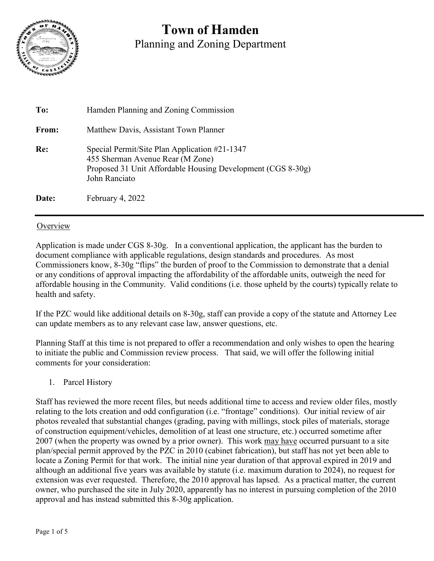

# **Town of Hamden** Planning and Zoning Department

| To:   | Hamden Planning and Zoning Commission                                                                                                                             |
|-------|-------------------------------------------------------------------------------------------------------------------------------------------------------------------|
| From: | Matthew Davis, Assistant Town Planner                                                                                                                             |
| Re:   | Special Permit/Site Plan Application #21-1347<br>455 Sherman Avenue Rear (M Zone)<br>Proposed 31 Unit Affordable Housing Development (CGS 8-30g)<br>John Ranciato |
| Date: | February 4, 2022                                                                                                                                                  |

#### Overview

Application is made under CGS 8-30g. In a conventional application, the applicant has the burden to document compliance with applicable regulations, design standards and procedures. As most Commissioners know, 8-30g "flips" the burden of proof to the Commission to demonstrate that a denial or any conditions of approval impacting the affordability of the affordable units, outweigh the need for affordable housing in the Community. Valid conditions (i.e. those upheld by the courts) typically relate to health and safety.

If the PZC would like additional details on 8-30g, staff can provide a copy of the statute and Attorney Lee can update members as to any relevant case law, answer questions, etc.

Planning Staff at this time is not prepared to offer a recommendation and only wishes to open the hearing to initiate the public and Commission review process. That said, we will offer the following initial comments for your consideration:

1. Parcel History

Staff has reviewed the more recent files, but needs additional time to access and review older files, mostly relating to the lots creation and odd configuration (i.e. "frontage" conditions). Our initial review of air photos revealed that substantial changes (grading, paving with millings, stock piles of materials, storage of construction equipment/vehicles, demolition of at least one structure, etc.) occurred sometime after 2007 (when the property was owned by a prior owner). This work may have occurred pursuant to a site plan/special permit approved by the PZC in 2010 (cabinet fabrication), but staff has not yet been able to locate a Zoning Permit for that work. The initial nine year duration of that approval expired in 2019 and although an additional five years was available by statute (i.e. maximum duration to 2024), no request for extension was ever requested. Therefore, the 2010 approval has lapsed. As a practical matter, the current owner, who purchased the site in July 2020, apparently has no interest in pursuing completion of the 2010 approval and has instead submitted this 8-30g application.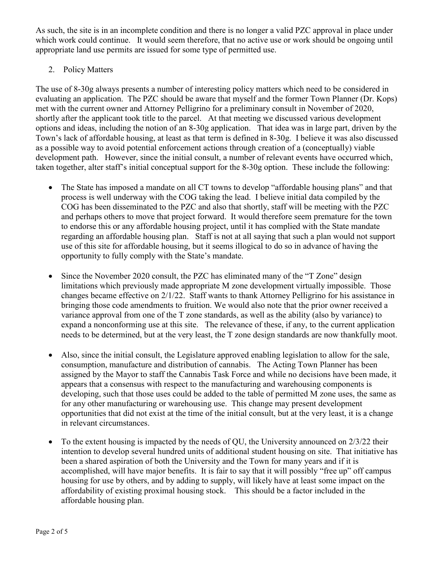As such, the site is in an incomplete condition and there is no longer a valid PZC approval in place under which work could continue. It would seem therefore, that no active use or work should be ongoing until appropriate land use permits are issued for some type of permitted use.

# 2. Policy Matters

The use of 8-30g always presents a number of interesting policy matters which need to be considered in evaluating an application. The PZC should be aware that myself and the former Town Planner (Dr. Kops) met with the current owner and Attorney Pelligrino for a preliminary consult in November of 2020, shortly after the applicant took title to the parcel. At that meeting we discussed various development options and ideas, including the notion of an 8-30g application. That idea was in large part, driven by the Town's lack of affordable housing, at least as that term is defined in 8-30g. I believe it was also discussed as a possible way to avoid potential enforcement actions through creation of a (conceptually) viable development path. However, since the initial consult, a number of relevant events have occurred which, taken together, alter staff's initial conceptual support for the 8-30g option. These include the following:

- The State has imposed a mandate on all CT towns to develop "affordable housing plans" and that process is well underway with the COG taking the lead. I believe initial data compiled by the COG has been disseminated to the PZC and also that shortly, staff will be meeting with the PZC and perhaps others to move that project forward. It would therefore seem premature for the town to endorse this or any affordable housing project, until it has complied with the State mandate regarding an affordable housing plan. Staff is not at all saying that such a plan would not support use of this site for affordable housing, but it seems illogical to do so in advance of having the opportunity to fully comply with the State's mandate.
- Since the November 2020 consult, the PZC has eliminated many of the "T Zone" design limitations which previously made appropriate M zone development virtually impossible. Those changes became effective on 2/1/22. Staff wants to thank Attorney Pelligrino for his assistance in bringing those code amendments to fruition. We would also note that the prior owner received a variance approval from one of the T zone standards, as well as the ability (also by variance) to expand a nonconforming use at this site. The relevance of these, if any, to the current application needs to be determined, but at the very least, the T zone design standards are now thankfully moot.
- Also, since the initial consult, the Legislature approved enabling legislation to allow for the sale, consumption, manufacture and distribution of cannabis. The Acting Town Planner has been assigned by the Mayor to staff the Cannabis Task Force and while no decisions have been made, it appears that a consensus with respect to the manufacturing and warehousing components is developing, such that those uses could be added to the table of permitted M zone uses, the same as for any other manufacturing or warehousing use. This change may present development opportunities that did not exist at the time of the initial consult, but at the very least, it is a change in relevant circumstances.
- To the extent housing is impacted by the needs of QU, the University announced on 2/3/22 their intention to develop several hundred units of additional student housing on site. That initiative has been a shared aspiration of both the University and the Town for many years and if it is accomplished, will have major benefits. It is fair to say that it will possibly "free up" off campus housing for use by others, and by adding to supply, will likely have at least some impact on the affordability of existing proximal housing stock. This should be a factor included in the affordable housing plan.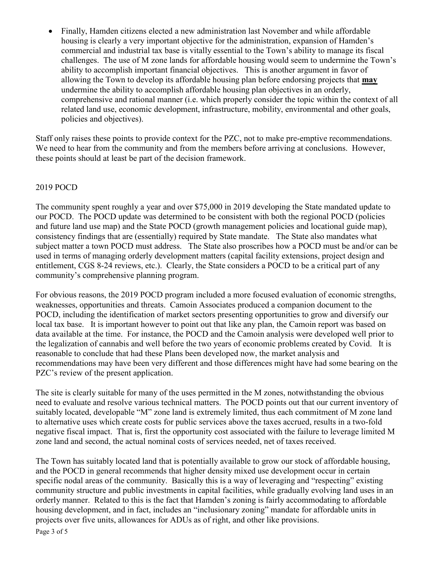• Finally, Hamden citizens elected a new administration last November and while affordable housing is clearly a very important objective for the administration, expansion of Hamden's commercial and industrial tax base is vitally essential to the Town's ability to manage its fiscal challenges. The use of M zone lands for affordable housing would seem to undermine the Town's ability to accomplish important financial objectives. This is another argument in favor of allowing the Town to develop its affordable housing plan before endorsing projects that **may** undermine the ability to accomplish affordable housing plan objectives in an orderly, comprehensive and rational manner (i.e. which properly consider the topic within the context of all related land use, economic development, infrastructure, mobility, environmental and other goals, policies and objectives).

Staff only raises these points to provide context for the PZC, not to make pre-emptive recommendations. We need to hear from the community and from the members before arriving at conclusions. However, these points should at least be part of the decision framework.

## 2019 POCD

The community spent roughly a year and over \$75,000 in 2019 developing the State mandated update to our POCD. The POCD update was determined to be consistent with both the regional POCD (policies and future land use map) and the State POCD (growth management policies and locational guide map), consistency findings that are (essentially) required by State mandate. The State also mandates what subject matter a town POCD must address. The State also proscribes how a POCD must be and/or can be used in terms of managing orderly development matters (capital facility extensions, project design and entitlement, CGS 8-24 reviews, etc.). Clearly, the State considers a POCD to be a critical part of any community's comprehensive planning program.

For obvious reasons, the 2019 POCD program included a more focused evaluation of economic strengths, weaknesses, opportunities and threats. Camoin Associates produced a companion document to the POCD, including the identification of market sectors presenting opportunities to grow and diversify our local tax base. It is important however to point out that like any plan, the Camoin report was based on data available at the time. For instance, the POCD and the Camoin analysis were developed well prior to the legalization of cannabis and well before the two years of economic problems created by Covid. It is reasonable to conclude that had these Plans been developed now, the market analysis and recommendations may have been very different and those differences might have had some bearing on the PZC's review of the present application.

The site is clearly suitable for many of the uses permitted in the M zones, notwithstanding the obvious need to evaluate and resolve various technical matters. The POCD points out that our current inventory of suitably located, developable "M" zone land is extremely limited, thus each commitment of M zone land to alternative uses which create costs for public services above the taxes accrued, results in a two-fold negative fiscal impact. That is, first the opportunity cost associated with the failure to leverage limited M zone land and second, the actual nominal costs of services needed, net of taxes received.

The Town has suitably located land that is potentially available to grow our stock of affordable housing, and the POCD in general recommends that higher density mixed use development occur in certain specific nodal areas of the community. Basically this is a way of leveraging and "respecting" existing community structure and public investments in capital facilities, while gradually evolving land uses in an orderly manner. Related to this is the fact that Hamden's zoning is fairly accommodating to affordable housing development, and in fact, includes an "inclusionary zoning" mandate for affordable units in projects over five units, allowances for ADUs as of right, and other like provisions.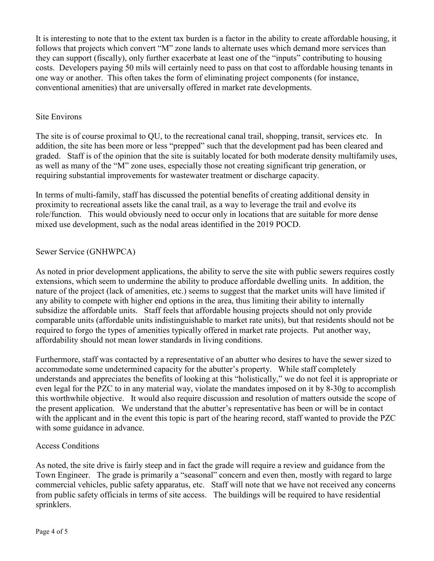It is interesting to note that to the extent tax burden is a factor in the ability to create affordable housing, it follows that projects which convert "M" zone lands to alternate uses which demand more services than they can support (fiscally), only further exacerbate at least one of the "inputs" contributing to housing costs. Developers paying 50 mils will certainly need to pass on that cost to affordable housing tenants in one way or another. This often takes the form of eliminating project components (for instance, conventional amenities) that are universally offered in market rate developments.

## Site Environs

The site is of course proximal to QU, to the recreational canal trail, shopping, transit, services etc. In addition, the site has been more or less "prepped" such that the development pad has been cleared and graded. Staff is of the opinion that the site is suitably located for both moderate density multifamily uses, as well as many of the "M" zone uses, especially those not creating significant trip generation, or requiring substantial improvements for wastewater treatment or discharge capacity.

In terms of multi-family, staff has discussed the potential benefits of creating additional density in proximity to recreational assets like the canal trail, as a way to leverage the trail and evolve its role/function. This would obviously need to occur only in locations that are suitable for more dense mixed use development, such as the nodal areas identified in the 2019 POCD.

## Sewer Service (GNHWPCA)

As noted in prior development applications, the ability to serve the site with public sewers requires costly extensions, which seem to undermine the ability to produce affordable dwelling units. In addition, the nature of the project (lack of amenities, etc.) seems to suggest that the market units will have limited if any ability to compete with higher end options in the area, thus limiting their ability to internally subsidize the affordable units. Staff feels that affordable housing projects should not only provide comparable units (affordable units indistinguishable to market rate units), but that residents should not be required to forgo the types of amenities typically offered in market rate projects. Put another way, affordability should not mean lower standards in living conditions.

Furthermore, staff was contacted by a representative of an abutter who desires to have the sewer sized to accommodate some undetermined capacity for the abutter's property. While staff completely understands and appreciates the benefits of looking at this "holistically," we do not feel it is appropriate or even legal for the PZC to in any material way, violate the mandates imposed on it by 8-30g to accomplish this worthwhile objective. It would also require discussion and resolution of matters outside the scope of the present application. We understand that the abutter's representative has been or will be in contact with the applicant and in the event this topic is part of the hearing record, staff wanted to provide the PZC with some guidance in advance.

#### Access Conditions

As noted, the site drive is fairly steep and in fact the grade will require a review and guidance from the Town Engineer. The grade is primarily a "seasonal" concern and even then, mostly with regard to large commercial vehicles, public safety apparatus, etc. Staff will note that we have not received any concerns from public safety officials in terms of site access. The buildings will be required to have residential sprinklers.